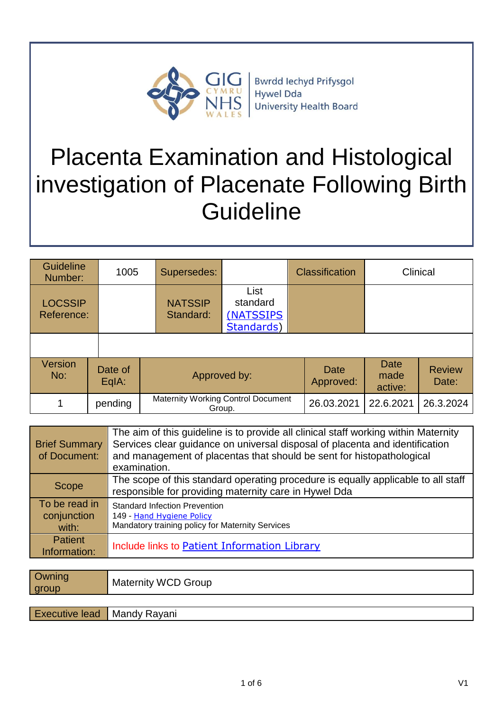

**Bwrdd lechyd Prifysgol** Hywel Dda **University Health Board** 

# Placenta Examination and Histological investigation of Placenate Following Birth **Guideline**

| <b>Guideline</b><br>Number:  | 1005             | Supersedes:                               |                                              | <b>Classification</b> |                                | Clinical               |
|------------------------------|------------------|-------------------------------------------|----------------------------------------------|-----------------------|--------------------------------|------------------------|
| <b>LOCSSIP</b><br>Reference: |                  | <b>NATSSIP</b><br>Standard:               | List<br>standard<br>(NATSSIPS)<br>Standards) |                       |                                |                        |
|                              |                  |                                           |                                              |                       |                                |                        |
| <b>Version</b><br>No:        | Date of<br>EqIA: |                                           | Approved by:                                 |                       | <b>Date</b><br>made<br>active: | <b>Review</b><br>Date: |
| 1                            | pending          | <b>Maternity Working Control Document</b> | Group.                                       | 26.03.2021            | 22.6.2021                      | 26.3.2024              |

| <b>Brief Summary</b><br>of Document:  | The aim of this guideline is to provide all clinical staff working within Maternity<br>Services clear guidance on universal disposal of placenta and identification<br>and management of placentas that should be sent for histopathological<br>examination. |
|---------------------------------------|--------------------------------------------------------------------------------------------------------------------------------------------------------------------------------------------------------------------------------------------------------------|
| <b>Scope</b>                          | The scope of this standard operating procedure is equally applicable to all staff<br>responsible for providing maternity care in Hywel Dda                                                                                                                   |
| To be read in<br>conjunction<br>with: | <b>Standard Infection Prevention</b><br>149 - Hand Hygiene Policy<br>Mandatory training policy for Maternity Services                                                                                                                                        |
| <b>Patient</b><br>Information:        | Include links to Patient Information Library                                                                                                                                                                                                                 |

| Owning<br>group                    | <b>Maternity WCD Group</b> |
|------------------------------------|----------------------------|
|                                    |                            |
| <b>Executive lead</b> Mandy Rayani |                            |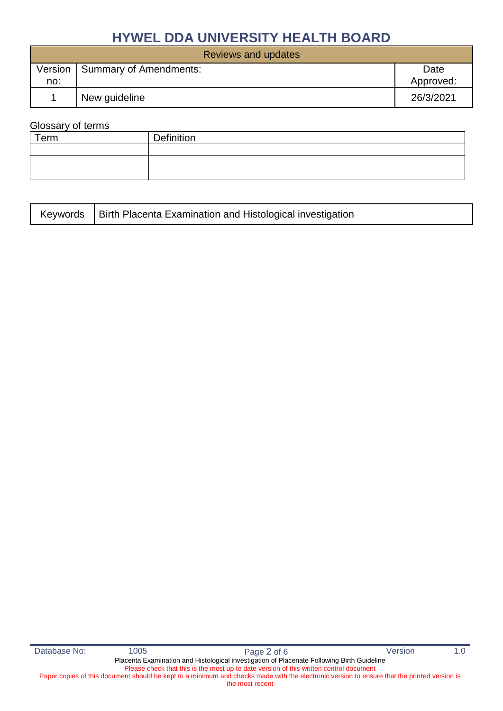| Reviews and updates |                        |           |  |
|---------------------|------------------------|-----------|--|
| Version             | Summary of Amendments: | Date      |  |
| no:                 |                        | Approved: |  |
|                     | New guideline          | 26/3/2021 |  |

#### Glossary of terms

| Term | Definition |
|------|------------|
|      |            |
|      |            |
|      |            |

|  | Keywords   Birth Placenta Examination and Histological investigation |
|--|----------------------------------------------------------------------|
|--|----------------------------------------------------------------------|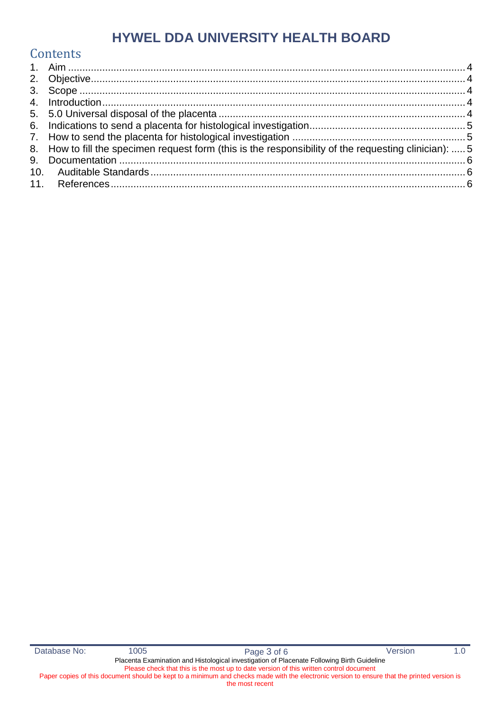### **Contents**

| 8. How to fill the specimen request form (this is the responsibility of the requesting clinician):  5 |  |
|-------------------------------------------------------------------------------------------------------|--|
|                                                                                                       |  |
|                                                                                                       |  |
|                                                                                                       |  |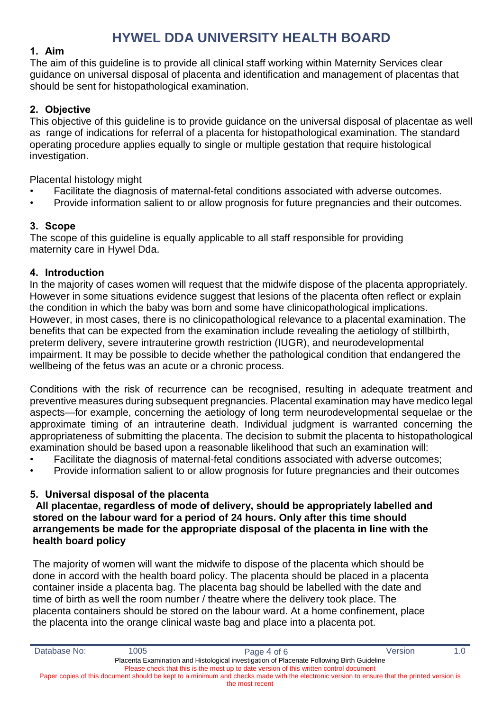#### <span id="page-3-0"></span>**1. Aim**

The aim of this guideline is to provide all clinical staff working within Maternity Services clear guidance on universal disposal of placenta and identification and management of placentas that should be sent for histopathological examination.

#### <span id="page-3-1"></span>**2. Objective**

This objective of this guideline is to provide guidance on the universal disposal of placentae as well as range of indications for referral of a placenta for histopathological examination. The standard operating procedure applies equally to single or multiple gestation that require histological investigation.

Placental histology might

- Facilitate the diagnosis of maternal-fetal conditions associated with adverse outcomes.
- Provide information salient to or allow prognosis for future pregnancies and their outcomes.

#### <span id="page-3-2"></span>**3. Scope**

The scope of this guideline is equally applicable to all staff responsible for providing maternity care in Hywel Dda.

#### <span id="page-3-3"></span>**4. Introduction**

In the majority of cases women will request that the midwife dispose of the placenta appropriately. However in some situations evidence suggest that lesions of the placenta often reflect or explain the condition in which the baby was born and some have clinicopathological implications. However, in most cases, there is no clinicopathological relevance to a placental examination. The benefits that can be expected from the examination include revealing the aetiology of stillbirth, preterm delivery, severe intrauterine growth restriction (IUGR), and neurodevelopmental impairment. It may be possible to decide whether the pathological condition that endangered the wellbeing of the fetus was an acute or a chronic process.

Conditions with the risk of recurrence can be recognised, resulting in adequate treatment and preventive measures during subsequent pregnancies. Placental examination may have medico legal aspects—for example, concerning the aetiology of long term neurodevelopmental sequelae or the approximate timing of an intrauterine death. Individual judgment is warranted concerning the appropriateness of submitting the placenta. The decision to submit the placenta to histopathological examination should be based upon a reasonable likelihood that such an examination will:

- Facilitate the diagnosis of maternal-fetal conditions associated with adverse outcomes;
- Provide information salient to or allow prognosis for future pregnancies and their outcomes

#### <span id="page-3-4"></span>**5. Universal disposal of the placenta**

#### **All placentae, regardless of mode of delivery, should be appropriately labelled and stored on the labour ward for a period of 24 hours. Only after this time should arrangements be made for the appropriate disposal of the placenta in line with the health board policy**

The majority of women will want the midwife to dispose of the placenta which should be done in accord with the health board policy. The placenta should be placed in a placenta container inside a placenta bag. The placenta bag should be labelled with the date and time of birth as well the room number / theatre where the delivery took place. The placenta containers should be stored on the labour ward. At a home confinement, place the placenta into the orange clinical waste bag and place into a placenta pot.

| Database No:                                                                           | 1005                                                                                       | Page 4 of 6                                                                                                                                 | Version | 1.0 |  |
|----------------------------------------------------------------------------------------|--------------------------------------------------------------------------------------------|---------------------------------------------------------------------------------------------------------------------------------------------|---------|-----|--|
|                                                                                        | Placenta Examination and Histological investigation of Placenate Following Birth Guideline |                                                                                                                                             |         |     |  |
| Please check that this is the most up to date version of this written control document |                                                                                            |                                                                                                                                             |         |     |  |
|                                                                                        |                                                                                            | Paper copies of this document should be kept to a minimum and checks made with the electronic version to ensure that the printed version is |         |     |  |
|                                                                                        |                                                                                            | the most recent                                                                                                                             |         |     |  |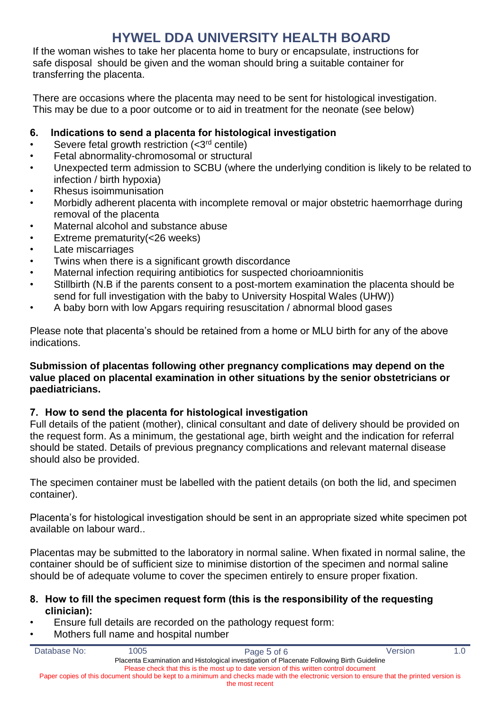If the woman wishes to take her placenta home to bury or encapsulate, instructions for safe disposal should be given and the woman should bring a suitable container for transferring the placenta.

There are occasions where the placenta may need to be sent for histological investigation. This may be due to a poor outcome or to aid in treatment for the neonate (see below)

#### <span id="page-4-0"></span>**6. Indications to send a placenta for histological investigation**

- Severe fetal growth restriction  $(*3*<sup>rd</sup>$  centile)
- Fetal abnormality-chromosomal or structural
- Unexpected term admission to SCBU (where the underlying condition is likely to be related to infection / birth hypoxia)
- Rhesus isoimmunisation
- Morbidly adherent placenta with incomplete removal or major obstetric haemorrhage during removal of the placenta
- Maternal alcohol and substance abuse
- Extreme prematurity(<26 weeks)
- Late miscarriages
- Twins when there is a significant growth discordance
- Maternal infection requiring antibiotics for suspected chorioamnionitis
- Stillbirth (N.B if the parents consent to a post-mortem examination the placenta should be send for full investigation with the baby to University Hospital Wales (UHW))
- A baby born with low Apgars requiring resuscitation / abnormal blood gases

Please note that placenta's should be retained from a home or MLU birth for any of the above indications.

#### **Submission of placentas following other pregnancy complications may depend on the value placed on placental examination in other situations by the senior obstetricians or paediatricians.**

#### <span id="page-4-1"></span>**7. How to send the placenta for histological investigation**

Full details of the patient (mother), clinical consultant and date of delivery should be provided on the request form. As a minimum, the gestational age, birth weight and the indication for referral should be stated. Details of previous pregnancy complications and relevant maternal disease should also be provided.

The specimen container must be labelled with the patient details (on both the lid, and specimen container).

Placenta's for histological investigation should be sent in an appropriate sized white specimen pot available on labour ward..

Placentas may be submitted to the laboratory in normal saline. When fixated in normal saline, the container should be of sufficient size to minimise distortion of the specimen and normal saline should be of adequate volume to cover the specimen entirely to ensure proper fixation.

#### <span id="page-4-2"></span>**8. How to fill the specimen request form (this is the responsibility of the requesting clinician):**

- Ensure full details are recorded on the pathology request form:
- Mothers full name and hospital number